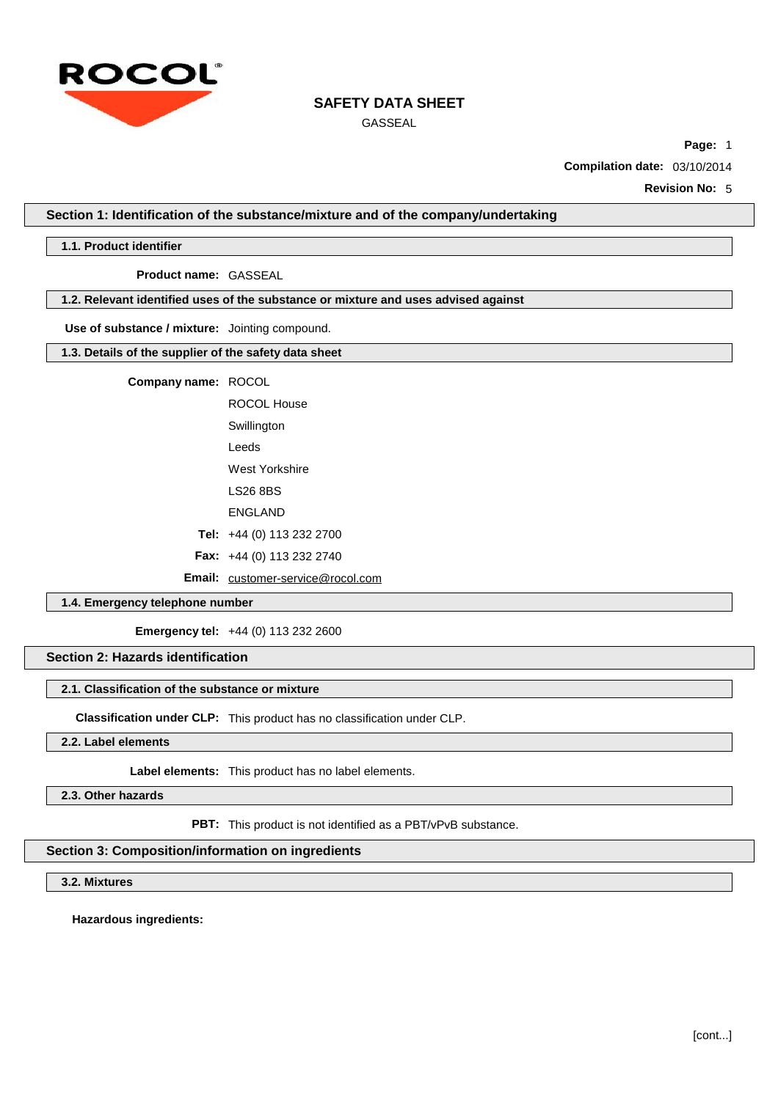

GASSEAL

**Page:** 1

**Compilation date:** 03/10/2014

**Revision No:** 5

**Section 1: Identification of the substance/mixture and of the company/undertaking**

#### **1.1. Product identifier**

**Product name:** GASSEAL

### **1.2. Relevant identified uses of the substance or mixture and uses advised against**

**Use of substance / mixture:** Jointing compound.

**1.3. Details of the supplier of the safety data sheet**

**Company name:** ROCOL

| ROCOL House                              |
|------------------------------------------|
| Swillington                              |
| Leeds                                    |
| West Yorkshire                           |
| LS26 8BS                                 |
| <b>ENGLAND</b>                           |
| <b>Tel:</b> $+44$ (0) 113 232 2700       |
| <b>Fax:</b> $+44$ (0) 113 232 2740       |
| <b>Email:</b> customer-service@rocol.com |

### **1.4. Emergency telephone number**

**Emergency tel:** +44 (0) 113 232 2600

# **Section 2: Hazards identification**

#### **2.1. Classification of the substance or mixture**

**Classification under CLP:** This product has no classification under CLP.

**2.2. Label elements**

**Label elements:** This product has no label elements.

**2.3. Other hazards**

**PBT:** This product is not identified as a PBT/vPvB substance.

## **Section 3: Composition/information on ingredients**

### **3.2. Mixtures**

**Hazardous ingredients:**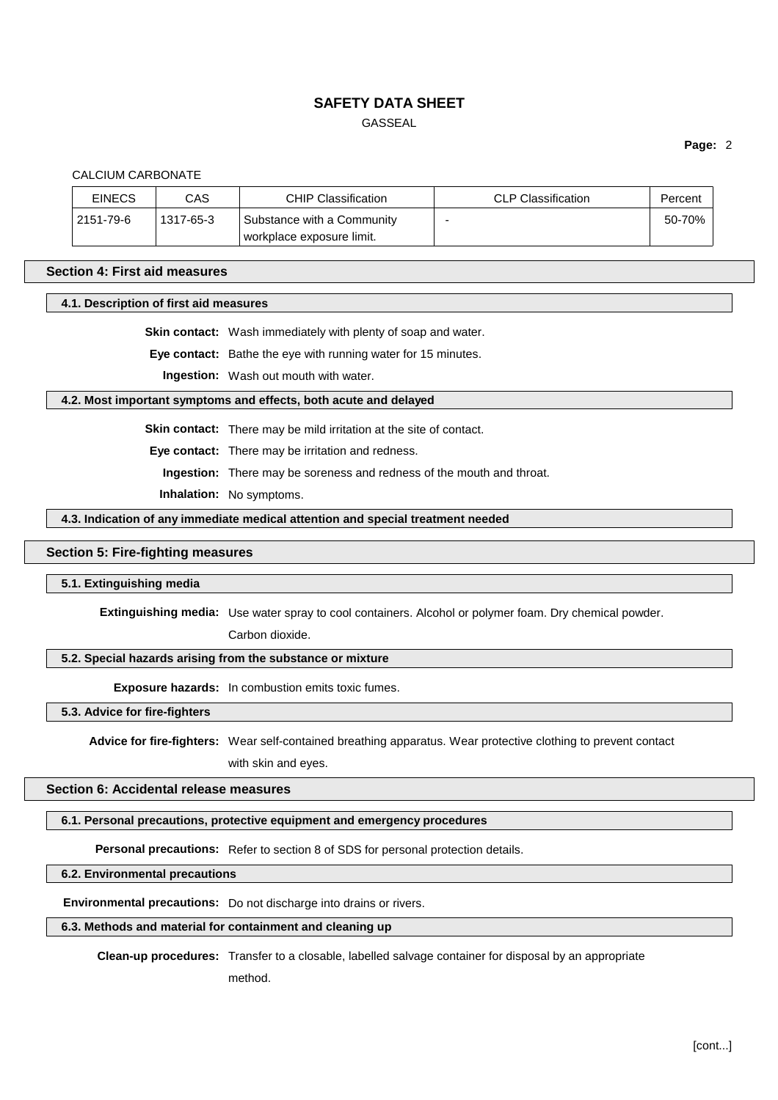# GASSEAL

### **Page:** 2

### CALCIUM CARBONATE

| <b>EINECS</b> | CAS       | <b>CHIP Classification</b>                              | CLP Classification | Percent |
|---------------|-----------|---------------------------------------------------------|--------------------|---------|
| 2151-79-6     | 1317-65-3 | Substance with a Community<br>workplace exposure limit. |                    | 50-70%  |

#### **Section 4: First aid measures**

#### **4.1. Description of first aid measures**

**Skin contact:** Wash immediately with plenty of soap and water.

**Eye contact:** Bathe the eye with running water for 15 minutes.

**Ingestion:** Wash out mouth with water.

#### **4.2. Most important symptoms and effects, both acute and delayed**

**Skin contact:** There may be mild irritation at the site of contact.

**Eye contact:** There may be irritation and redness.

**Ingestion:** There may be soreness and redness of the mouth and throat.

**Inhalation:** No symptoms.

#### **4.3. Indication of any immediate medical attention and special treatment needed**

## **Section 5: Fire-fighting measures**

### **5.1. Extinguishing media**

**Extinguishing media:** Use water spray to cool containers. Alcohol or polymer foam. Dry chemical powder.

Carbon dioxide.

## **5.2. Special hazards arising from the substance or mixture**

**Exposure hazards:** In combustion emits toxic fumes.

**5.3. Advice for fire-fighters**

**Advice for fire-fighters:** Wear self-contained breathing apparatus. Wear protective clothing to prevent contact

with skin and eyes.

# **Section 6: Accidental release measures**

# **6.1. Personal precautions, protective equipment and emergency procedures**

**Personal precautions:** Refer to section 8 of SDS for personal protection details.

## **6.2. Environmental precautions**

**Environmental precautions:** Do not discharge into drains or rivers.

# **6.3. Methods and material for containment and cleaning up**

**Clean-up procedures:** Transfer to a closable, labelled salvage container for disposal by an appropriate

method.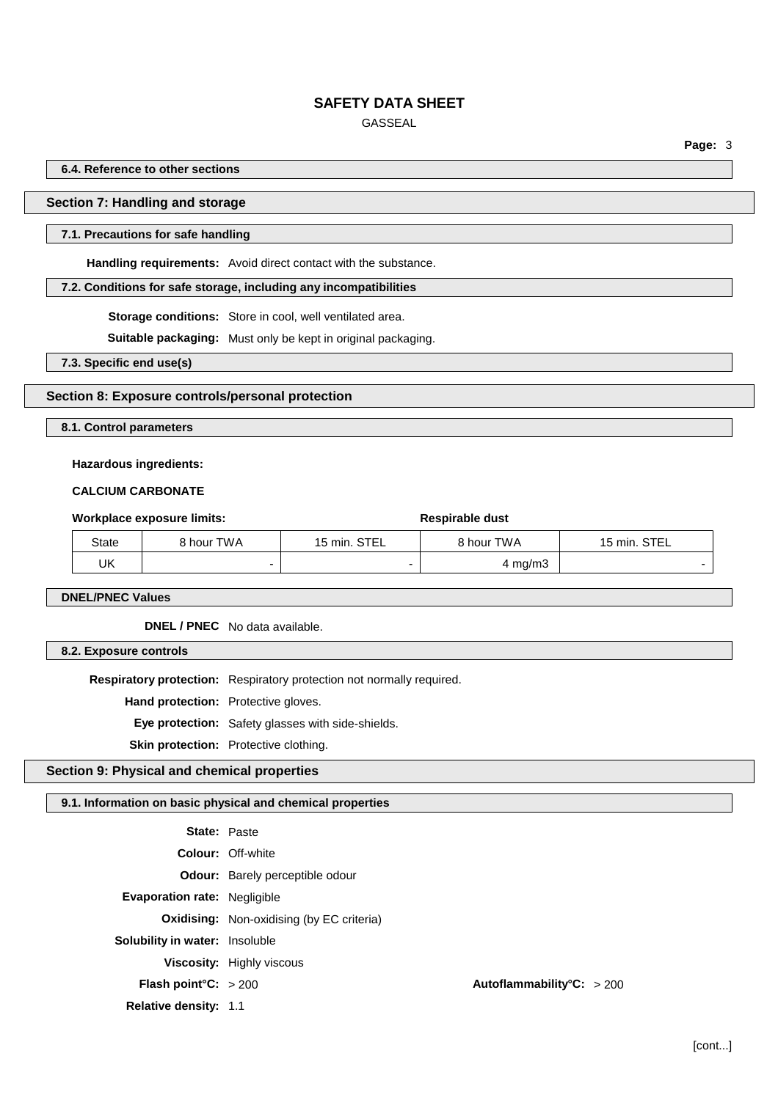# GASSEAL

**Page:** 3

**6.4. Reference to other sections**

# **Section 7: Handling and storage**

### **7.1. Precautions for safe handling**

**Handling requirements:** Avoid direct contact with the substance.

### **7.2. Conditions for safe storage, including any incompatibilities**

**Storage conditions:** Store in cool, well ventilated area.

**Suitable packaging:** Must only be kept in original packaging.

**7.3. Specific end use(s)**

### **Section 8: Exposure controls/personal protection**

**8.1. Control parameters**

# **Hazardous ingredients:**

### **CALCIUM CARBONATE**

| Workplace exposure limits: |       |            | Respirable dust |                  |              |
|----------------------------|-------|------------|-----------------|------------------|--------------|
|                            | State | 8 hour TWA | 15 min. STEL    | 8 hour TWA       | 15 min. STEL |
|                            | UK    |            |                 | $4 \text{ mg/m}$ |              |

**DNEL/PNEC Values**

**DNEL / PNEC** No data available.

**8.2. Exposure controls**

**Respiratory protection:** Respiratory protection not normally required.

**Hand protection:** Protective gloves.

**Eye protection:** Safety glasses with side-shields.

**Skin protection:** Protective clothing.

# **Section 9: Physical and chemical properties**

# **9.1. Information on basic physical and chemical properties**

| <b>State: Paste</b>                   |                                                  |                           |
|---------------------------------------|--------------------------------------------------|---------------------------|
|                                       | <b>Colour: Off-white</b>                         |                           |
|                                       | <b>Odour:</b> Barely perceptible odour           |                           |
| <b>Evaporation rate: Negligible</b>   |                                                  |                           |
|                                       | <b>Oxidising:</b> Non-oxidising (by EC criteria) |                           |
| <b>Solubility in water:</b> Insoluble |                                                  |                           |
|                                       | <b>Viscosity:</b> Highly viscous                 |                           |
| <b>Flash point °C:</b> $>200$         |                                                  | Autoflammability°C: > 200 |
| Relative density: 1.1                 |                                                  |                           |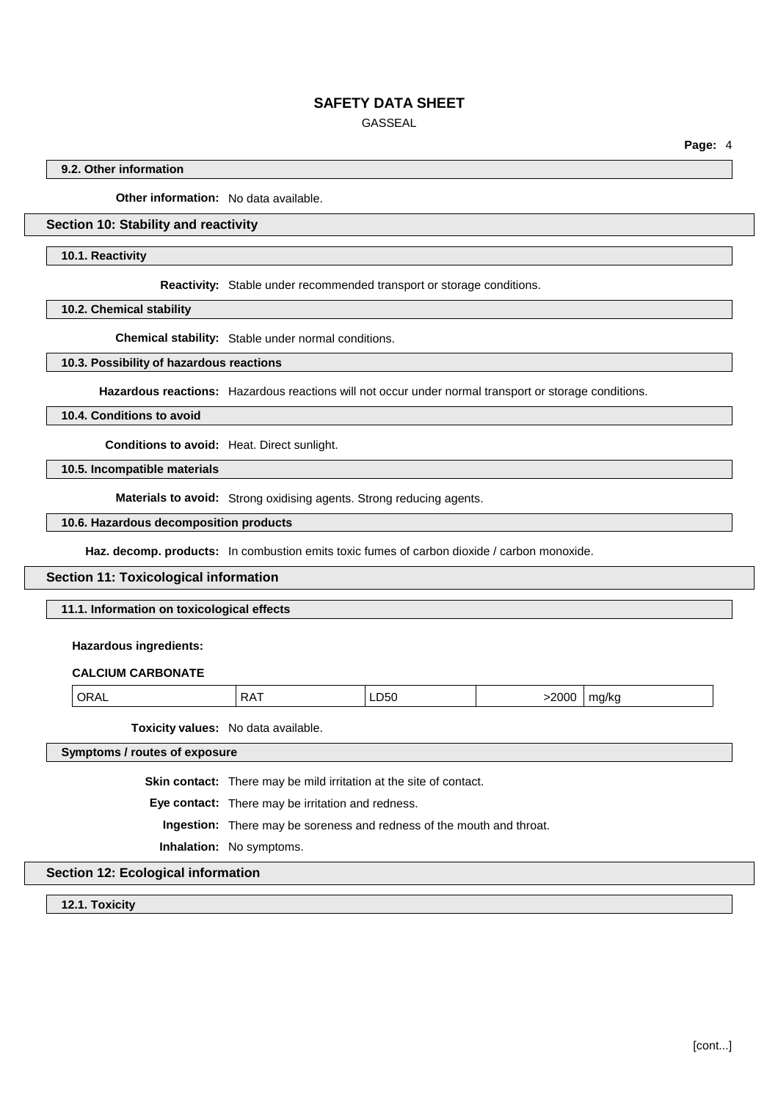GASSEAL

**Page:** 4

### **9.2. Other information**

**Other information:** No data available.

# **Section 10: Stability and reactivity**

#### **10.1. Reactivity**

**Reactivity:** Stable under recommended transport or storage conditions.

**10.2. Chemical stability**

**Chemical stability:** Stable under normal conditions.

#### **10.3. Possibility of hazardous reactions**

**Hazardous reactions:** Hazardous reactions will not occur under normal transport or storage conditions.

#### **10.4. Conditions to avoid**

**Conditions to avoid:** Heat. Direct sunlight.

# **10.5. Incompatible materials**

**Materials to avoid:** Strong oxidising agents. Strong reducing agents.

### **10.6. Hazardous decomposition products**

**Haz. decomp. products:** In combustion emits toxic fumes of carbon dioxide / carbon monoxide.

### **Section 11: Toxicological information**

**11.1. Information on toxicological effects**

#### **Hazardous ingredients:**

#### **CALCIUM CARBONATE**

| $\overline{OR'}$<br><b>VUL</b> | ، ب<br>. | D50<br>LDOU<br>__ | $-2000$<br>. . | ma/ka<br>.<br>. . |
|--------------------------------|----------|-------------------|----------------|-------------------|
|--------------------------------|----------|-------------------|----------------|-------------------|

**Toxicity values:** No data available.

**Symptoms / routes of exposure**

**Skin contact:** There may be mild irritation at the site of contact.

**Eye contact:** There may be irritation and redness.

**Ingestion:** There may be soreness and redness of the mouth and throat.

**Inhalation:** No symptoms.

# **Section 12: Ecological information**

**12.1. Toxicity**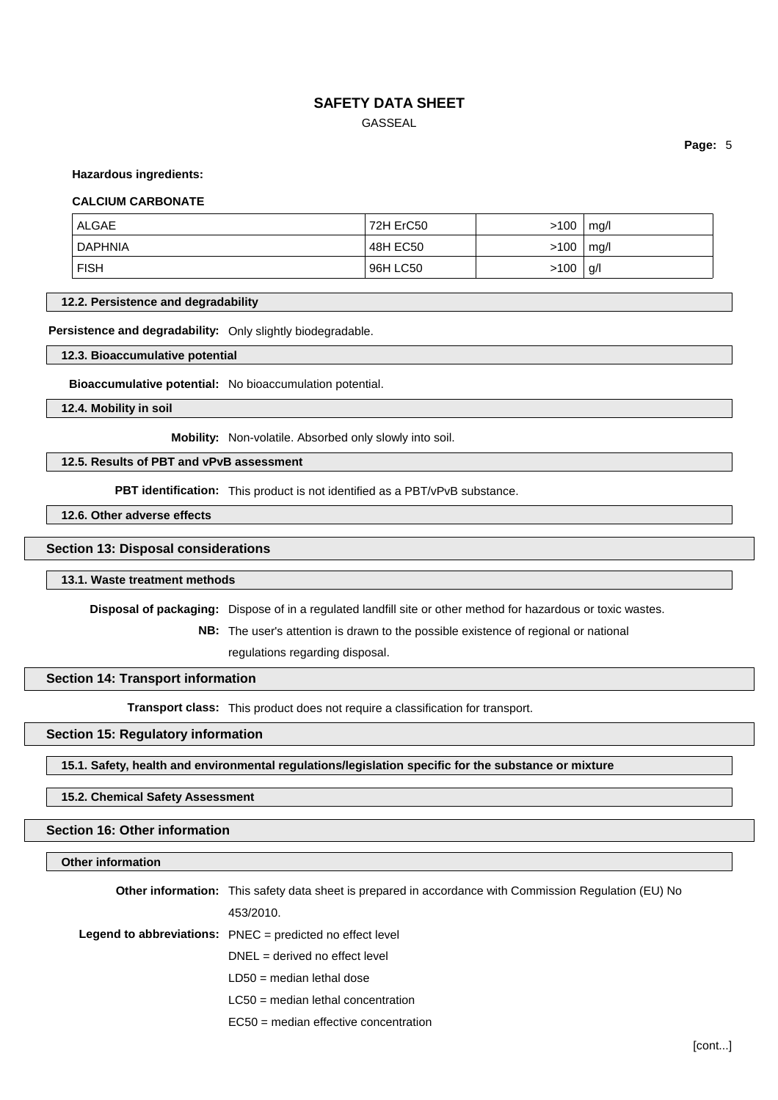# **SAFETY DATA SHEET** GASSEAL

**Page:** 5

#### **Hazardous ingredients:**

#### **CALCIUM CARBONATE**

| ALGAE          | 72H ErC50 | >100 | mq/l |
|----------------|-----------|------|------|
| <b>DAPHNIA</b> | 48H EC50  | >100 | mq/l |
| <b>FISH</b>    | 96H LC50  | >100 | g/l  |

#### **12.2. Persistence and degradability**

**Persistence and degradability:** Only slightly biodegradable.

**12.3. Bioaccumulative potential**

**Bioaccumulative potential:** No bioaccumulation potential.

**12.4. Mobility in soil**

**Mobility:** Non-volatile. Absorbed only slowly into soil.

### **12.5. Results of PBT and vPvB assessment**

**PBT identification:** This product is not identified as a PBT/vPvB substance.

**12.6. Other adverse effects**

### **Section 13: Disposal considerations**

#### **13.1. Waste treatment methods**

**Disposal of packaging:** Dispose of in a regulated landfill site or other method for hazardous or toxic wastes.

**NB:** The user's attention is drawn to the possible existence of regional or national

regulations regarding disposal.

#### **Section 14: Transport information**

**Transport class:** This product does not require a classification for transport.

# **Section 15: Regulatory information**

**15.1. Safety, health and environmental regulations/legislation specific for the substance or mixture**

### **15.2. Chemical Safety Assessment**

# **Section 16: Other information**

#### **Other information**

| <b>Other information:</b> This safety data sheet is prepared in accordance with Commission Regulation (EU) No |
|---------------------------------------------------------------------------------------------------------------|
| 453/2010.                                                                                                     |
| <b>Legend to abbreviations:</b> $PNEC = predicted no effect level$                                            |
| $DNEL = derived no effect level$                                                                              |
| $LD50$ = median lethal dose                                                                                   |
| $LC50$ = median lethal concentration                                                                          |
|                                                                                                               |

EC50 = median effective concentration